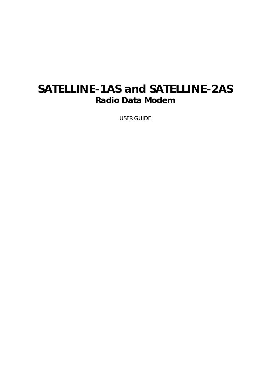# **SATELLINE-1AS and SATELLINE-2AS Radio Data Modem**

USER GUIDE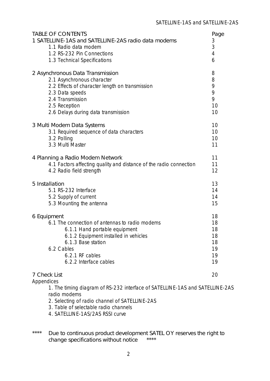| <b>TABLE OF CONTENTS</b>                                                     | Page |
|------------------------------------------------------------------------------|------|
| 1 SATELLINE-1AS and SATELLINE-2AS radio data modems                          | 3    |
| 1.1 Radio data modem                                                         | 3    |
| 1.2 RS-232 Pin Connections                                                   | 4    |
| 1.3 Technical Specifications                                                 | 6    |
| 2 Asynchronous Data Transmission                                             | 8    |
| 2.1 Asynchronous character                                                   | 8    |
| 2.2 Effects of character length on transmission                              | 9    |
| 2.3 Data speeds                                                              | 9    |
| 2.4 Transmission                                                             | 9    |
| 2.5 Reception                                                                | 10   |
| 2.6 Delays during data transmission                                          | 10   |
| 3 Multi Modem Data Systems                                                   | 10   |
| 3.1 Required sequence of data characters                                     | 10   |
| 3.2 Polling                                                                  | 10   |
| 3.3 Multi Master                                                             | 11   |
| 4 Planning a Radio Modem Network                                             | 11   |
| 4.1 Factors affecting quality and distance of the radio connection           | 11   |
| 4.2 Radio field strength                                                     | 12   |
| 5 Installation                                                               | 13   |
| 5.1 RS-232 Interface                                                         | 14   |
| 5.2 Supply of current                                                        | 14   |
| 5.3 Mounting the antenna                                                     | 15   |
| 6 Equipment                                                                  | 18   |
| 6.1 The connection of antennas to radio modems                               | 18   |
| 6.1.1 Hand portable equipment                                                | 18   |
| 6.1.2 Equipment installed in vehicles                                        | 18   |
| 6.1.3 Base station                                                           | 18   |
| 6.2 Cables                                                                   | 19   |
| 6.2.1 RF cables                                                              | 19   |
| 6.2.2 Interface cables                                                       | 19   |
| 7 Check List<br>Appendices                                                   | 20   |
| 1. The timing diagram of RS-232 interface of SATELLINE-1AS and SATELLINE-2AS |      |

radio modems

- 2. Selecting of radio channel of SATELLINE-2AS
- 3. Table of selectable radio channels
- 4. SATELLINE-1AS/2AS RSSI curve
- \*\*\*\* Due to continuous product development SATEL OY reserves the right to change specifications without notice \*\*\*\*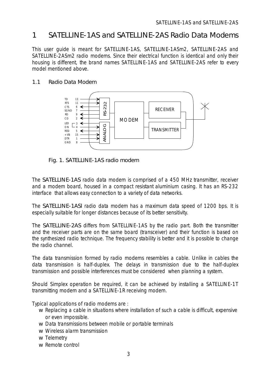# <span id="page-2-0"></span>1 SATELLINE-1AS and SATELLINE-2AS Radio Data Modems

This user guide is meant for SATELLINE-1AS, SATELLINE-1ASm2, SATELLINE-2AS and SATELLINE-2ASm2 radio modems. Since their electrical function is identical and only their housing is different, the brand names SATELLINE-1AS and SATELLINE-2AS refer to every model mentioned above.

### 1.1 Radio Data Modem



Fig. 1. SATELLINE-1AS radio modem

The SATELLINE-1AS radio data modem is comprised of a 450 MHz transmitter, receiver and a modem board, housed in a compact resistant aluminium casing. It has an RS-232 interface that allows easy connection to a variety of data networks.

The SATELLINE-1ASl radio data modem has a maximum data speed of 1200 bps. It is especially suitable for longer distances because of its better sensitivity.

The SATELLINE-2AS differs from SATELLINE-1AS by the radio part. Both the transmitter and the receiver parts are on the same board (transceiver) and their function is based on the synthesized radio technique. The frequency stability is better and it is possible to change the radio channel.

The data transmission formed by radio modems resembles a cable. Unlike in cables the data transmission is half-duplex. The delays in transmission due to the half-duplex transmission and possible interferences must be considered when planning a system.

Should Simplex operation be required, it can be achieved by installing a SATELLINE-1T transmitting modem and a SATELLINE-1R receiving modem.

Typical applications of radio modems are :

- w Replacing a cable in situations where installation of such a cable is difficult, expensive or even impossible.
- w Data transmissions between mobile or portable terminals
- w Wireless alarm transmission
- w Telemetry
- w Remote control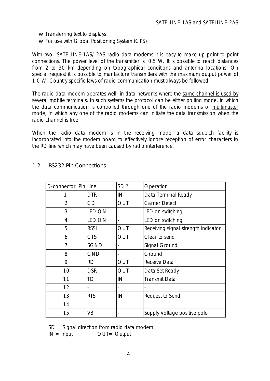- w Transferring text to displays
- w For use with Global Positioning System (GPS)

<span id="page-3-0"></span>With two SATELLINE-1AS/-2AS radio data modems it is easy to make up point to point connections. The power level of the transmitter is 0,5 W. It is possible to reach distances from 2 to 30 km depending on topographical conditions and antenna locations. On special request it is possible to manfacture transmitters with the maximum output power of 1,0 W. Country specific laws of radio communication must always be followed.

The radio data modem operates well in data networks where the same channel is used by several mobile terminals. In such systems the protocol can be either polling mode, in which the data communication is controlled through one of the radio modems or multimaster mode, in which any one of the radio modems can initiate the data transmission when the radio channel is free.

When the radio data modem is in the receiving mode, a data squelch facility is incorporated into the modem board to effectively ignore reception of error characters to the RD line which may have been caused by radio interference.

| D-connector Pin Line |                | $SD^{\gamma}$ | Operation                           |
|----------------------|----------------|---------------|-------------------------------------|
| 1                    | <b>DTR</b>     | IN            | Data Terminal Ready                 |
| $\overline{2}$       | CD             | OUT           | <b>Carrier Detect</b>               |
| 3                    | <b>LED ON</b>  |               | LED on switching                    |
| 4                    | <b>LED ON</b>  |               | LED on switching                    |
| 5                    | <b>RSSI</b>    | OUT           | Receiving signal strength indicator |
| 6                    | <b>CTS</b>     | <b>OUT</b>    | Clear to send                       |
| 7                    | <b>SGND</b>    |               | Signal Ground                       |
| 8                    | <b>GND</b>     |               | Ground                              |
| 9                    | <b>RD</b>      | OUT           | Receive Data                        |
| 10                   | <b>DSR</b>     | OUT           | Data Set Ready                      |
| 11                   | TD             | IN            | <b>Transmit Data</b>                |
| 12                   | $\blacksquare$ |               |                                     |
| 13                   | <b>RTS</b>     | IN            | Request to Send                     |
| 14                   |                |               |                                     |
| 15                   | <b>VB</b>      |               | Supply Voltage positive pole        |

### 1.2 RS232 Pin Connections

 $SD = Signal$  direction from radio data modem

 $IN = Input$   $OUT = Output$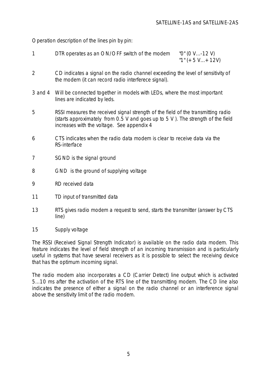Operation description of the lines pin by pin:

- 1 DTR operates as an ON/OFF switch of the modem "0" (0 V...-12 V)  $"1" (+5 V... + 12V)$
- 2 CD indicates a signal on the radio channel exceeding the level of sensitivity of the modem (it can record radio interferece signal).
- 3 and 4 Will be connected together in models with LEDs, where the most important lines are indicated by leds.
- 5 RSSI measures the received signal strength of the field of the transmitting radio (starts approximately from 0.5 V and goes up to 5 V ). The strength of the field increases with the voltage. See appendix 4
- 6 CTS indicates when the radio data modem is clear to receive data via the RS-interface
- 7 SGND is the signal ground
- 8 GND is the ground of supplying voltage
- 9 RD received data
- 11 TD input of transmitted data
- 13 RTS gives radio modem a request to send, starts the transmitter (answer by CTS line)
- 15 Supply voltage

The RSSI (Received Signal Strength Indicator) is available on the radio data modem. This feature indicates the level of field strength of an incoming transmission and is particularly useful in systems that have several receivers as it is possible to select the receiving device that has the optimum incoming signal.

The radio modem also incorporates a CD (Carrier Detect) line output which is activated 5...10 ms after the activation of the RTS line of the transmitting modem. The CD line also indicates the presence of either a signal on the radio channel or an interference signal above the sensitivity limit of the radio modem.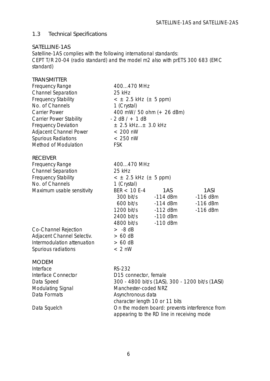### <span id="page-5-0"></span>1.3 Technical Specifications

### SATELLINE-1AS

Satelline-1AS complies with the following international standards: CEPT T/R 20-04 (radio standard) and the model m2 also with prETS 300 683 (EMC standard)

| <b>TRANSMITTER</b>             |                                |                                                 |                                                |  |  |  |  |
|--------------------------------|--------------------------------|-------------------------------------------------|------------------------------------------------|--|--|--|--|
| Frequency Range                | 400470 MHz                     |                                                 |                                                |  |  |  |  |
| <b>Channel Separation</b>      | 25 kHz                         |                                                 |                                                |  |  |  |  |
| <b>Frequency Stability</b>     | $< \pm 2.5$ kHz ( $\pm 5$ ppm) |                                                 |                                                |  |  |  |  |
| No. of Channels                | 1 (Crystal)                    |                                                 |                                                |  |  |  |  |
| <b>Carrier Power</b>           | 400 mW/ 50 ohm (+ 26 dBm)      |                                                 |                                                |  |  |  |  |
| <b>Carrier Power Stability</b> | $-2$ dB $/ + 1$ dB             |                                                 |                                                |  |  |  |  |
| <b>Frequency Deviation</b>     | $\pm$ 2.5 kHz $\pm$ 3.0 kHz    |                                                 |                                                |  |  |  |  |
| <b>Adjacent Channel Power</b>  | $< 200$ nW                     |                                                 |                                                |  |  |  |  |
| Spurious Radiations            | $< 250$ nW                     |                                                 |                                                |  |  |  |  |
| Method of Modulation           | <b>FSK</b>                     |                                                 |                                                |  |  |  |  |
| <b>RECEIVER</b>                |                                |                                                 |                                                |  |  |  |  |
| <b>Frequency Range</b>         | 400470 MHz                     |                                                 |                                                |  |  |  |  |
| <b>Channel Separation</b>      | 25 kHz                         |                                                 |                                                |  |  |  |  |
| <b>Frequency Stability</b>     | $< \pm 2.5$ kHz ( $\pm 5$ ppm) |                                                 |                                                |  |  |  |  |
| No. of Channels                | 1 (Crystal)                    |                                                 |                                                |  |  |  |  |
| Maximum usable sensitivity     | $BER < 10 E-4$                 | 1AS                                             | 1ASI                                           |  |  |  |  |
|                                | $300$ bit/s                    | -114 dBm                                        | $-116$ dBm                                     |  |  |  |  |
|                                | 600 bit/s                      | -114 dBm                                        | $-116$ dBm                                     |  |  |  |  |
|                                | 1200 bit/s -112 dBm            |                                                 | $-116$ dBm                                     |  |  |  |  |
|                                | 2400 bit/s                     | -110 dBm                                        |                                                |  |  |  |  |
|                                | 4800 bit/s                     | $-110$ dBm                                      |                                                |  |  |  |  |
| Co-Channel Rejection           | $> -8$ dB                      |                                                 |                                                |  |  |  |  |
| Adjacent Channel Selectiv.     | $> 60$ dB                      |                                                 |                                                |  |  |  |  |
| Intermodulation attenuation    | $> 60$ dB                      |                                                 |                                                |  |  |  |  |
| Spurious radiations            | $< 2$ nW                       |                                                 |                                                |  |  |  |  |
| <b>MODEM</b>                   |                                |                                                 |                                                |  |  |  |  |
| Interface                      | RS-232                         |                                                 |                                                |  |  |  |  |
| Interface Connector            | D15 connector, female          |                                                 |                                                |  |  |  |  |
| Data Speed                     |                                | 300 - 4800 bit/s (1AS), 300 - 1200 bit/s (1ASI) |                                                |  |  |  |  |
| Modulating Signal              | Manchester-coded NRZ           |                                                 |                                                |  |  |  |  |
| Data Formats                   | Asynchronous data              |                                                 |                                                |  |  |  |  |
|                                | character length 10 or 11 bits |                                                 |                                                |  |  |  |  |
| Data Squelch                   |                                |                                                 | On the modem board: prevents interference from |  |  |  |  |
|                                |                                | appearing to the RD line in receiving mode      |                                                |  |  |  |  |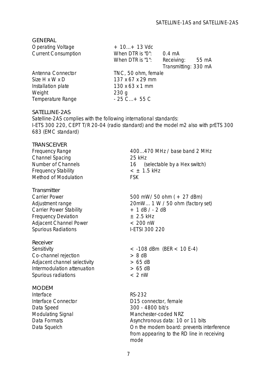| <b>GENERAL</b>             |                     |                      |
|----------------------------|---------------------|----------------------|
| <b>Operating Voltage</b>   | $+10+13$ Vdc        |                      |
| <b>Current Consumption</b> | When DTR is "0":    | $0.4 \text{ mA}$     |
|                            | When DTR is "1":    | Receiving: 55 mA     |
|                            |                     | Transmitting: 330 mA |
| Antenna Connector          | TNC, 50 ohm, female |                      |
| Size H x W x D             | 137 x 67 x 29 mm    |                      |
| Installation plate         | 130 x 63 x 1 mm     |                      |
| Weight                     | 230q                |                      |
| Temperature Range          | $-25$ C + 55 C      |                      |
|                            |                     |                      |

#### SATELLINE-2AS

Satelline-2AS complies with the following international standards: I-ETS 300 220, CEPT T/R 20-04 (radio standard) and the model m2 also with prETS 300 683 (EMC standard)

#### TRANSCEIVER

| <b>Frequency Range</b><br><b>Channel Spacing</b><br><b>Number of Channels</b><br><b>Frequency Stability</b><br><b>Method of Modulation</b>                                      | 400470 MHz / base band 2 MHz<br>25 kHz<br>16 (selectable by a Hex switch)<br>$<$ $\pm$ 1.5 kHz<br><b>FSK</b>                                                                                                       |
|---------------------------------------------------------------------------------------------------------------------------------------------------------------------------------|--------------------------------------------------------------------------------------------------------------------------------------------------------------------------------------------------------------------|
| Transmitter<br><b>Carrier Power</b><br>Adjustment range<br><b>Carrier Power Stability</b><br><b>Frequency Deviation</b><br><b>Adjacent Channel Power</b><br>Spurious Radiations | 500 mW/ 50 ohm $(+ 27$ dBm)<br>20mW 1 W / 50 ohm (factory set)<br>$+1$ dB $/ -2$ dB<br>$\pm$ 2.5 kHz<br>$< 200$ nW<br>I-ETSI 300 220                                                                               |
| Receiver<br>Sensitivity<br>Co-channel rejection<br>Adjacent channel selectivity<br>Intermodulation attenuation<br>Spurious radiations                                           | $<$ -108 dBm (BER $<$ 10 E-4)<br>$> 8$ dB<br>$> 65$ dB<br>$> 65$ dB<br>$< 2$ nW                                                                                                                                    |
| <b>MODEM</b><br>Interface<br>Interface Connector<br>Data Speed<br>Modulating Signal<br>Data Formats<br>Data Squelch                                                             | RS-232<br>D15 connector, female<br>300 - 4800 bit/s<br>Manchester-coded NRZ<br>Asynchronous data: 10 or 11 bits<br>On the modem board: prevents interference<br>from appearing to the RD line in receiving<br>mode |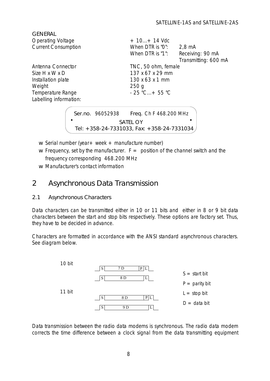<span id="page-7-0"></span>

| <b>GENERAL</b>             |                                      |
|----------------------------|--------------------------------------|
| <b>Operating Voltage</b>   | $+10+14$ Vdc                         |
| <b>Current Consumption</b> | When DTR is "0":<br>$2.8 \text{ mA}$ |
|                            | Receiving: 90 mA<br>When DTR is "1": |
|                            | Transmitting: 600 mA                 |
| Antenna Connector          | TNC, 50 ohm, female                  |
| Size H x W x D             | 137 x 67 x 29 mm                     |
| Installation plate         | 130 x 63 x 1 mm                      |
| Weight                     | 250 <sub>g</sub>                     |
| Temperature Range          | $-25$ °C + 55 °C                     |
| Labelling information:     |                                      |
|                            |                                      |
| Ser.no. 96052938           | Freq. Ch F 468.200 MHz               |

- SATEL OY Tel: +358-24-7331033, Fax: +358-24-7331034
- w Serial number (year + week + manufacture number)
- w Frequency, set by the manufacturer.  $F =$  position of the channel switch and the frequency corresponding 468.200 MHz
- w Manufacturer's contact information

# 2 Asynchronous Data Transmission

2.1 Asynchronous Characters

Data characters can be transmitted either in 10 or 11 bits and either in 8 or 9 bit data characters between the start and stop bits respectively. These options are factory set. Thus, they have to be decided in advance.

Characters are formatted in accordance with the ANSI standard asynchronous characters. See diagram below.



Data transmission between the radio data modems is synchronous. The radio data modem corrects the time difference between a clock signal from the data transmitting equipment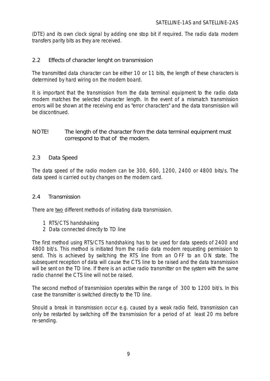<span id="page-8-1"></span><span id="page-8-0"></span>(DTE) and its own clock signal by adding one stop bit if required. The radio data modem transfers parity bits as they are received.

### 2.2 Effects of character lenght on transmission

<span id="page-8-2"></span>The transmitted data character can be either 10 or 11 bits, the length of these characters is determined by hard wiring on the modem board.

It is important that the transmission from the data terminal equipment to the radio data modem matches the selected character length. In the event of a mismatch transmission errors will be shown at the receiving end as "error characters" and the data transmission will be discontinued.

NOTE! The length of the character from the data terminal equipment must correspond to that of the modem.

### 2.3 Data Speed

The data speed of the radio modem can be 300, 600, 1200, 2400 or 4800 bits/s. The data speed is carried out by changes on the modem card.

### 2.4 Transmission

There are two different methods of initiating data transmission.

- 1 RTS/CTS handshaking
- 2 Data connected directly to TD line

The first method using RTS/CTS handshaking has to be used for data speeds of 2400 and 4800 bit/s. This method is initiated from the radio data modem requesting permission to send. This is achieved by switching the RTS line from an OFF to an ON state. The subsequent reception of data will cause the CTS line to be raised and the data transmission will be sent on the TD line. If there is an active radio transmitter on the system with the same radio channel the CTS line will not be raised.

The second method of transmission operates within the range of 300 to 1200 bit/s. In this case the transmitter is switched directly to the TD line.

Should a break in transmission occur e.g. caused by a weak radio field, transmission can only be restarted by switching off the transmission for a period of at least 20 ms before re-sending.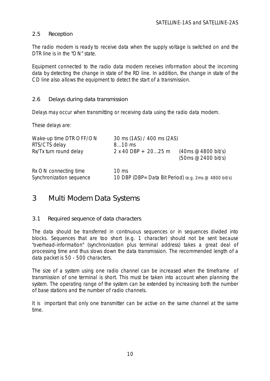### <span id="page-9-1"></span><span id="page-9-0"></span>2.5 Reception

The radio modem is ready to receive data when the supply voltage is switched on and the DTR line is in the "ON" state.

Equipment connected to the radio data modem receives information about the incoming data by detecting the change in state of the RD line. In addition, the change in state of the CD line also allows the equipment to detect the start of a transmission.

### 2.6 Delays during data transmission

Delays may occur when transmitting or receiving data using the radio data modem.

These delays are:

<span id="page-9-2"></span>

| Wake-up time DTR OFF/ON<br>RTS/CTS delay          | 30 ms (1AS) / 400 ms (2AS)<br>$810$ ms                                    |                                                               |  |  |  |  |  |  |
|---------------------------------------------------|---------------------------------------------------------------------------|---------------------------------------------------------------|--|--|--|--|--|--|
| Rx/Tx turn round delay                            | $2 x 40 DBP + 2025 m$                                                     | $(40 \text{ms} \ @ 4800 \text{ bit/s})$<br>(50ms @2400 bit/s) |  |  |  |  |  |  |
| Rx ON connecting time<br>Synchronization sequence | $10 \text{ ms}$<br>10 DBP (DBP = Data Bit Period) (e.g. 2ms @ 4800 bit/s) |                                                               |  |  |  |  |  |  |

### 3 Multi Modem Data Systems

### 3.1 Required sequence of data characters

The data should be transferred in continuous sequences or in sequences divided into blocks. Sequences that are too short (e.g. 1 character) should not be sent because "overhead-information" (synchronization plus terminal address) takes a great deal of processing time and thus slows down the data transmission. The recommended length of a data packet is 50 - 500 characters.

The size of a system using one radio channel can be increased when the timeframe of transmission of one terminal is short. This must be taken into account when planning the system. The operating range of the system can be extended by increasing both the number of base stations and the number of radio channels.

It is important that only one transmitter can be active on the same channel at the same time.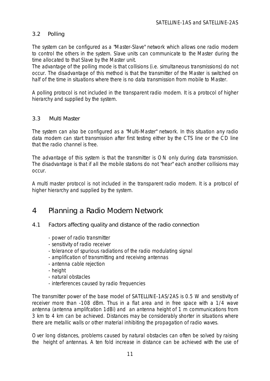### <span id="page-10-0"></span>3.2 Polling

The system can be configured as a "Master-Slave" network which allows one radio modem to control the others in the system. Slave units can communicate to the Master during the time allocated to that Slave by the Master unit.

The advantage of the polling mode is that collisions (i.e. simultaneous transmissions) do not occur. The disadvantage of this method is that the transmitter of the Master is switched on half of the time in situations where there is no data transmission from mobile to Master.

*A polling protocol is not included in the transparent radio modem. It is a protocol of higher hierarchy and supplied by the system.*

### 3.3 Multi Master

<span id="page-10-1"></span>The system can also be configured as a "Multi-Master" network. In this situation any radio data modem can start transmission after first testing either by the CTS line or the CD line that the radio channel is free.

The advantage of this system is that the transmitter is ON only during data transmission. The disadvantage is that if all the mobile stations do not "hear" each another collisions may occur.

*A multi master protocol is not included in the transparent radio modem. It is a protocol of higher hierarchy and supplied by the system.*

### 4 Planning a Radio Modem Network

- 4.1 Factors affecting quality and distance of the radio connection
	- power of radio transmitter
	- sensitivity of radio receiver
	- tolerance of spurious radiations of the radio modulating signal
	- amplification of transmitting and receiving antennas
	- antenna cable rejection
	- height
	- natural obstacles
	- interferences caused by radio frequencies

The transmitter power of the base model of SATELLINE-1AS/2AS is 0.5 W and sensitivity of receiver more than -108 dBm. Thus in a flat area and in free space with a 1/4 wave antenna (antenna amplifcation 1dBi) and an antenna height of 1 m communications from 3 km to 4 km can be achieved. Distances may be considerably shorter in situations where there are metallic walls or other material inhibiting the propagation of radio waves.

Over long distances, problems caused by natural obstacles can often be solved by raising the height of antennas. A ten fold increase in distance can be achieved with the use of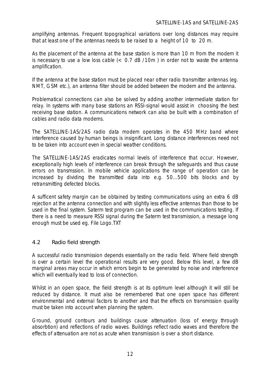amplifying antennas. Frequent topographical variations over long distances may require that at least one of the antennas needs to be raised to a height of 10 to 20 m.

As the placement of the antenna at the base station is more than 10 m from the modem it is necessary to use a low loss cable  $\left($  < 0.7 dB /10m ) in order not to waste the antenna amplification.

If the antenna at the base station must be placed near other radio transmitter antennas (eg. NMT, GSM etc.), an antenna filter should be added between the modem and the antenna.

Problematical connections can also be solved by adding another intermediate station for relay. In systems with many base stations an RSSI-signal would assist in choosing the best receiving base station. A communications network can also be built with a combination of cables and radio data modems.

<span id="page-11-0"></span>The SATELLINE-1AS/2AS radio data modem operates in the 450 MHz band where interference caused by human beings is insignificant. Long distance interferences need not to be taken into account even in special weather conditions.

The SATELLINE-1AS/2AS eradicates normal levels of interference that occur. However, exceptionally high levels of interference can break through the safeguards and thus cause errors on transmssion. In mobile vehicle applications the range of operation can be increased by dividing the transmitted data into e.g. 50...500 bits blocks and by retransmitting defected blocks.

A sufficent safety margin can be obtained by testing communications using an extra 6 dB rejection at the antenna connection and with slightly less effective antennas than those to be used in the final system. Saterm test program can be used in the communications testing. If there is a need to measure RSSI signal during the Saterm test transmission, a message long enough must be used eg. File Logo.TXT

### 4.2 Radio field strength

A successful radio transmission depends essentially on the radio field. Where field strength is over a certain level the operational results are very good. Below this level, a few dB marginal areas may occur in which errors begin to be generated by noise and interference which will eventually lead to loss of connection.

Whilst in an open space, the field strength is at its optimum level although it will still be reduced by distance. It must also be remembered that one open space has different environmental and external factors to another and that the effects on transmission quality must be taken into account when planning the system.

Ground, ground contours and buildings cause attenuation (loss of energy through absorbtion) and reflections of radio waves. Buildings reflect radio waves and therefore the effects of attenuation are not as acute when transmission is over a short distance.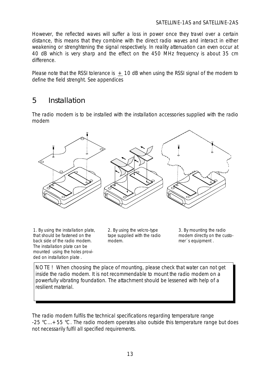However, the reflected waves will suffer a loss in power once they travel over a certain distance, this means that they combine with the direct radio waves and interact in either weakening or strenghtening the signal respectively. In reality attenuation can even occur at 40 dB which is very sharp and the effect on the 450 MHz frequency is about 35 cm difference.

Please note that the RSSI tolerance is  $+10$  dB when using the RSSI signal of the modem to define the field strenght. See appendices

### <span id="page-12-0"></span>5 Installation

The radio modem is to be installed with the installation accessories supplied with the radio modem



1. By using the installation plate, that should be fastened on the back side of the radio modem. The installation plate can be mounted using the holes provided on installation plate .

2. By using the velcro-type tape supplied with the radio modem.

3. By mounting the radio modem directly on the customer´s equipment .

NOTE ! When choosing the place of mounting, please check that water can not get inside the radio modem. It is not recommendable to mount the radio modem on a powerfully vibrating foundation. The attachment should be lessened with help of a resilient material.

The radio modem fulfils the technical specifications regarding temperature range  $-25$  °C... $+55$  °C. The radio modem operates also outside this temperature range but does not necessarily fulfil all specified requirements.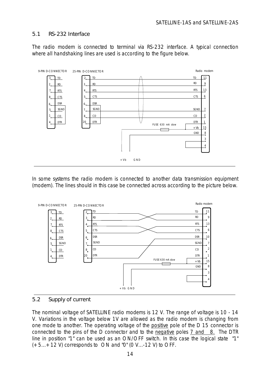### <span id="page-13-0"></span>5.1 RS-232 Interface

The radio modem is connected to terminal via RS-232 interface. A typical connection where all handshaking lines are used is according to the figure below.



<span id="page-13-1"></span>In some systems the radio modem is connected to another data transmission equipment (modem). The lines should in this case be connected across according to the picture below.



#### 5.2 Supply of current

The nominal voltage of SATELLINE radio modems is 12 V. The range of voltage is 10 - 14 V. Variations in the voltage below 1V are allowed as the radio modem is changing from one mode to another. The operating voltage of the positive pole of the D 15 connector is connected to the pins of the D connector and to the negative poles 7 and 8. The DTR line in position "1" can be used as an ON/OFF switch. In this case the logical state "1"  $(+5...+12)$  V) corresponds to ON and "0" (0 V...-12 V) to OFF.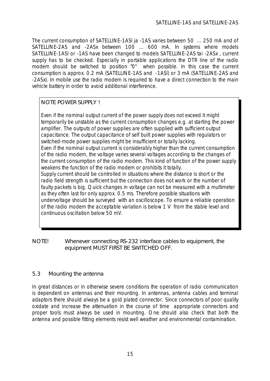The current consumption of SATELLINE-1ASl ja -1AS varies between 50 ... 250 mA and of SATELLINE-2AS and -2ASx between 100 ... 600 mA. In systems where models SATELLINE-1ASl or -1AS have been changed to models SATELLINE-2AS tai -2ASx , current supply has to be checked. Especially in portable applications the DTR line of the radio modem should be switched to position "0" when possible. In this case the current consumption is approx. 0.2 mA (SATELLINE-1AS and -1ASl) or 3 mA (SATELLINE-2AS and -2ASx). In mobile use the radio modem is required to have a direct connection to the main vehicle battery in order to avoid additional interference.

### NOTE POWER SUPPLY I

<span id="page-14-0"></span>Even if the nominal output current of the power supply does not exceed it might temporarily be unstable as the current consumption changes e.g. at starting the power amplifier. The outputs of power supplies are often supplied with sufficient output capacitance. The output capacitance of self built power supplies with regulators or switched-mode power supplies might be insufficient or totally lacking. Even if the nominal output current is considerably higher than the current consumption of the radio modem, the voltage varies several voltages according to the changes of the current consumption of the radio modem. This kind of function of the power supply weakens the function of the radio modem or prohibits it totally. Supply current should be controlled in situations where the distance is short or the radio field strength is sufficient but the connection does not work or the number of faulty packets is big. Quick changes in voltage can not be measured with a multimeter as they often last for only approx. 0.5 ms. Therefore possible situations with undervoltage should be surveyed with an oscilloscope. To ensure a reliable operation of the radio modem the acceptable variation is below 1 V from the stable level and continuous oscillation below 50 mV.

NOTE! Whenever connecting RS-232 interface cables to equipment, the equipment MUST FIRST BE SWITCHED OFF.

### 5.3 Mounting the antenna

In great distances or in otherwise severe conditions the operation of radio communication is dependent on antennas and their mounting. In antennas, antenna cables and terminal adaptors there should always be a gold plated connector. Since connectors of poor quality oxidate and increase the attenuation in the course of time appropriate connectors and proper tools must always be used in mounting. One should also check that both the antenna and possible fitting elements resist well weather and environmental contamination.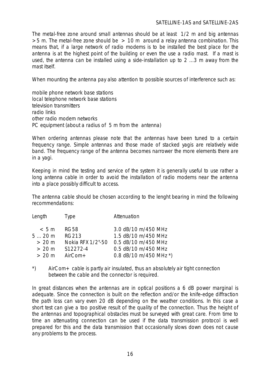#### SATELLINE-1AS and SATELLINE-2AS

The metal-free zone around small antennas should be at least 1/2 m and big antennas  $>5$  m. The metal-free zone should be  $> 10$  m around a relay antenna combination. This means that, if a large network of radio modems is to be installed the best place for the antenna is at the highest point of the building or even the use a radio mast. If a mast is used, the antenna can be installed using a side-installation up to 2 ...3 m away from the mast itself.

When mounting the antenna pay also attention to possible sources of interference such as:

mobile phone network base stations local telephone network base stations television transmitters radio links other radio modem networks PC equipment (about a radius of 5 m from the antenna)

When ordering antennas please note that the antennas have been tuned to a certain frequency range. Simple antennas and those made of stacked yagis are relatively wide band. The frequency range of the antenna becomes narrower the more elements there are in a yagi.

Keeping in mind the testing and service of the system it is generally useful to use rather a long antenna cable in order to avoid the installation of radio modems near the antenna into a place possibly difficult to access.

The antenna cable should be chosen according to the lenght bearing in mind the following recommendations:

| Length | Type              | Attenuation            |
|--------|-------------------|------------------------|
| < 5m   | <b>RG58</b>       | 3.0 dB/10 m/450 MHz    |
| 520m   | <b>RG213</b>      | 1.5 dB/10 m/450 MHz    |
| > 20 m | Nokia RFX 1/2"-50 | 0.5 dB/10 m/450 MHz    |
| > 20 m | S12272-4          | 0.5 dB/10 m/450 MHz    |
| > 20 m | $AirCom+$         | 0.8 dB/10 m/450 MHz *) |
|        |                   |                        |

\*) AirCom+ cable is partly air insulated, thus an absolutely air tight connection between the cable and the connector is required.

In great distances when the antennas are in optical positions a 6 dB power marginal is adequate. Since the connection is built on the reflection and/or the knife-edge diffraction the path loss can vary even 20 dB depending on the weather conditions. In this case a short test can give a too positive result of the quality of the connection. Thus the height of the antennas and topographical obstacles must be surveyed with great care. From time to time an attenuating connection can be used if the data transmission protocol is well prepared for this and the data transmission that occasionally slows down does not cause any problems to the process.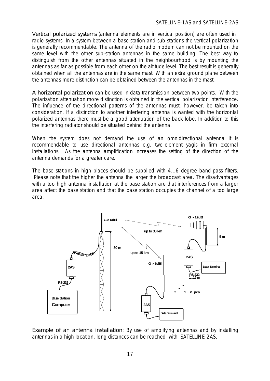Vertical polarized systems (antenna elements are in vertical position) are often used in radio systems. In a system between a base station and sub-stations the vertical polarization is generally recommendable. The antenna of the radio modem can not be mounted on the same level with the other sub-station antennas in the same building. The best way to distinguish from the other antennas situated in the neighbourhood is by mounting the antennas as far as possible from each other on the altitude level. The best result is generally obtained when all the antennas are in the same mast. With an extra ground plane between the antennas more distinction can be obtained between the antennas in the mast.

A horizontal polarization can be used in data transmission between two points. With the polarization attenuation more distinction is obtained in the vertical polarization interference. The influence of the directional patterns of the antennas must, however, be taken into consideration. If a distinction to another interfering antenna is wanted with the horizontal polarized antennas there must be a good attenuation of the back lobe. In addition to this the interfering radiator should be situated behind the antenna.

When the system does not demand the use of an omnidirectional antenna it is recommendable to use directional antennas e.g. two-element yagis in firm external installations. As the antenna amplification increases the setting of the direction of the antenna demands for a greater care.

The base stations in high places should be supplied with 4...6 degree band-pass filters. Please note that the higher the antenna the larger the broadcast area. The disadvantages with a too high antenna installation at the base station are that interferences from a larger area affect the base station and that the base station occupies the channel of a too large area.



Example of an antenna installation: By use of amplifying antennas and by installing antennas in a high location, long distances can be reached with SATELLINE-2AS.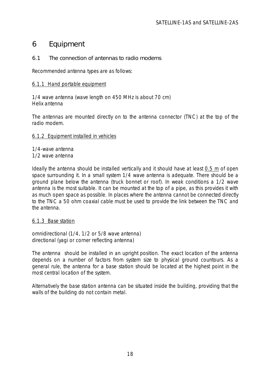# <span id="page-17-0"></span>6 Equipment

### 6.1 The connection of antennas to radio modems

Recommended antenna types are as follows:

### 6.1.1 Hand portable equipment

1/4 wave antenna (wave length on 450 MHz is about 70 cm) Helix antenna

<span id="page-17-1"></span>The antennas are mounted directly on to the antenna connector (TNC) at the top of the radio modem.

### 6.1.2 Equipment installed in vehicles

1/4-wave antenna 1/2 wave antenna

Ideally the antenna should be installed vertically and it should have at least 0.5 m of open space surrounding it. In a small system 1/4 wave antenna is adequate. There should be a ground plane below the antenna (truck bonnet or roof). In weak conditions a 1/2 wave antenna is the most suitable. It can be mounted at the top of a pipe, as this provides it with as much open space as possible. In places where the antenna cannot be connected directly to the TNC a 50 ohm coaxial cable must be used to provide the link between the TNC and the antenna.

6.1.3 Base station

omnidirectional (1/4, 1/2 or 5/8 wave antenna) directional (yagi or corner reflecting antenna)

The antenna should be installed in an upright position. The exact location of the antenna depends on a number of factors from system size to physical ground countours. As a general rule, the antenna for a base station should be located at the highest point in the most central location of the system.

Alternatively the base station antenna can be situated inside the building, providing that the walls of the building do not contain metal.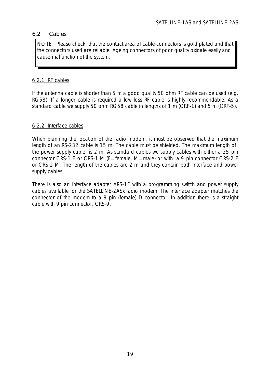### <span id="page-18-0"></span>6.2 Cables

NOTE ! Please check, that the contact area of cable connectors is gold plated and that the connectors used are reliable. Ageing connectors of poor quality oxidate easily and cause malfunction of the system.

### 6.2.1 RF cables

If the antenna cable is shorter than 5 m a good quality 50 ohm RF cable can be used (e.g. RG58). If a longer cable is required a low loss RF cable is highly recommendable. As a standard cable we supply 50 ohm RG58 cable in lengths of 1 m (CRF-1) and 5 m (CRF-5).

### 6.2.2 Interface cables

When planning the location of the radio modem, it must be observed that the maximum length of an RS-232 cable is 15 m. The cable must be shielded. The maximum length of the power supply cable is 2 m. As standard cables we supply cables with either a 25 pin connector CRS-1 F or CRS-1 M (F=female, M=male) or with a 9 pin connector CRS-2 F or CRS-2 M. The length of the cables are 2 m and they contain both interface and power supply cables.

There is also an interface adapter ARS-1F with a programming switch and power supply cables available for the SATELLINE-2ASx radio modem. The interface adapter matches the connector of the modem to a 9 pin (female) D connector. In addition there is a straight cable with 9 pin connector, CRS-9.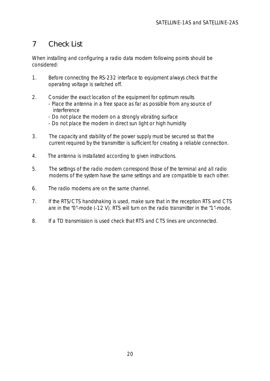# <span id="page-19-0"></span>7 Check List

When installing and configuring a radio data modem following points should be considered:

- 1. Before connecting the RS-232 interface to equipment always check that the operating voltage is switched off.
- 2. Consider the exact location of the equipment for optimum results - Place the antenna in a free space as far as possible from any source of interference
	- Do not place the modem on a strongly vibrating surface
	- Do not place the modem in direct sun light or high humidity
- 3. The capacity and stability of the power supply must be secured so that the current required by the transmitter is sufficient for creating a reliable connection.
- 4. The antenna is installated according to given instructions.
- 5. The settings of the radio modem correspond those of the terminal and all radio modems of the system have the same settings and are compatible to each other.
- 6. The radio modems are on the same channel.
- 7. If the RTS/CTS handshaking is used, make sure that in the reception RTS and CTS are in the "0"-mode (-12 V). RTS will turn on the radio transmitter in the "1"-mode.
- 8. If a TD transmission is used check that RTS and CTS lines are unconnected.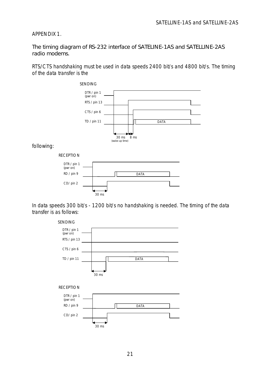### APPENDIX 1.

The timing diagram of RS-232 interface of SATELINE-1AS and SATELLINE-2AS radio modems.

RTS/CTS handshaking must be used in data speeds 2400 bit/s and 4800 bit/s. The timing of the data transfer is the



following:





In data speeds 300 bit/s - 1200 bit/s no handshaking is needed. The timing of the data transfer is as follows:

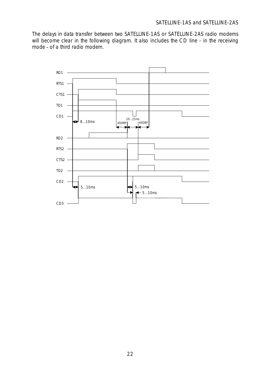The delays in data transfer between two SATELLINE-1AS or SATELLINE-2AS radio modems will become clear in the following diagram. It also includes the CD line - in the receiving mode - of a third radio modem.

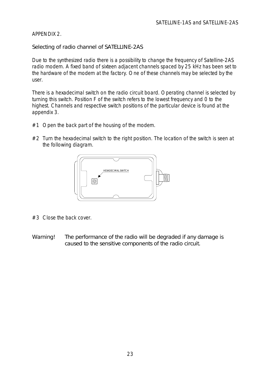### APPENDIX 2.

Selecting of radio channel of SATELLINE-2AS

Due to the synthesized radio there is a possibility to change the frequency of Satelline-2AS radio modem. A fixed band of sixteen adjacent channels spaced by 25 kHz has been set to the hardware of the modem at the factory. One of these channels may be selected by the user.

There is a hexadecimal switch on the radio circuit board. Operating channel is selected by turning this switch. Position F of the switch refers to the lowest frequency and 0 to the highest. Channels and respective switch positions of the particular device is found at the appendix 3.

- $#1$  Open the back part of the housing of the modem.
- $#2$  Turn the hexadecimal switch to the right position. The location of the switch is seen at the following diagram.



- #3 Close the back cover.
- Warning! The performance of the radio will be degraded if any damage is caused to the sensitive components of the radio circuit.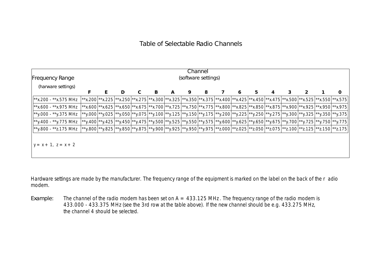### Table of Selectable Radio Channels

|                                        |  |                                                                                                                                 |   |  |   |   |   | Channel |  |   |    |  |  |   |
|----------------------------------------|--|---------------------------------------------------------------------------------------------------------------------------------|---|--|---|---|---|---------|--|---|----|--|--|---|
| (software settings)<br>Frequency Range |  |                                                                                                                                 |   |  |   |   |   |         |  |   |    |  |  |   |
| (harware settings)                     |  |                                                                                                                                 |   |  |   |   |   |         |  |   |    |  |  |   |
|                                        |  |                                                                                                                                 | D |  | B | A | 9 | 8       |  | 6 | 5. |  |  | 0 |
| $\mathsf{I}^*$ *x.200 - **x.575 MHz    |  | **x.200 **x.225 **x.250 **x.275 **x.300 **x.325 **x.350 **x.375 **x.400 **x.425 **x.475 **x.575 **x.525 **x.550 **x.575         |   |  |   |   |   |         |  |   |    |  |  |   |
| $\mid$ **x.600 - **x.975 MHz           |  | **x.600 **x.625 **x.650 **x.675 **x.700 **x.725 **x.750 **x.775 **x.800 **x.825 **x.850 **x.875 **x.900 **x.925 **x.950 **x.975 |   |  |   |   |   |         |  |   |    |  |  |   |
| **y.000 - **y.375 MHz                  |  | **y.000 **y.025 **y.050 **y.075 **y.100 **y.125 **y.150 **y.175 **y.200 **y.225 **y.250 **y.275 **y.300 **y.325 **y.350 **y.375 |   |  |   |   |   |         |  |   |    |  |  |   |
| $*$ y.400 - $*$ y.775 MHz              |  | **y.400 **y.425 **y.450 **y.475 **y.500 **y.525 **y.550 **y.575 **y.600 **y.625 **y.650 **y.675 **y.700 **y.725 **y.750 **y.775 |   |  |   |   |   |         |  |   |    |  |  |   |
| $\star$ y.800 - **z.175 MHz            |  | **y.800 **y.825 **y.850 **y.875 **y.900 **y.925 **y.950 **y.975 **z.000 **z.025 **z.050 **z.075 **z.100 **z.125 **z.150 **z.175 |   |  |   |   |   |         |  |   |    |  |  |   |
|                                        |  |                                                                                                                                 |   |  |   |   |   |         |  |   |    |  |  |   |
| $y = x + 1$ , $z = x + 2$              |  |                                                                                                                                 |   |  |   |   |   |         |  |   |    |  |  |   |
|                                        |  |                                                                                                                                 |   |  |   |   |   |         |  |   |    |  |  |   |

Hardware settings are made by the manufacturer. The frequency range of the equipment is marked on the label on the back of the r adio modem.

Example: The channel of the radio modem has been set on  $A = 433.125$  MHz. The frequency range of the radio modem is 433.000 - 433.375 MHz (see the 3rd row at the table above). If the new channel should be e.g. 433.275 MHz, the channel 4 should be selected.